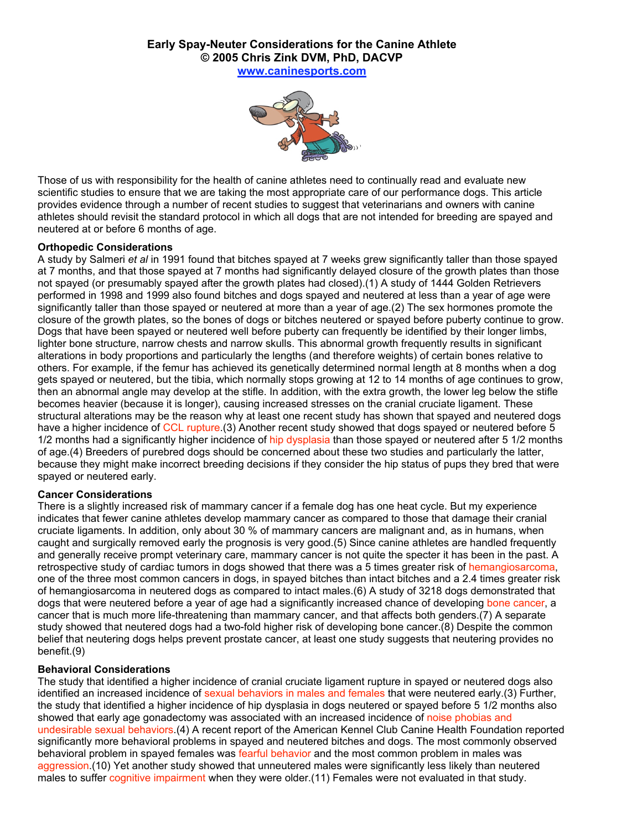

Those of us with responsibility for the health of canine athletes need to continually read and evaluate new scientific studies to ensure that we are taking the most appropriate care of our performance dogs. This article provides evidence through a number of recent studies to suggest that veterinarians and owners with canine athletes should revisit the standard protocol in which all dogs that are not intended for breeding are spayed and neutered at or before 6 months of age.

### **Orthopedic Considerations**

A study by Salmeri *et al* in 1991 found that bitches spayed at 7 weeks grew significantly taller than those spayed at 7 months, and that those spayed at 7 months had significantly delayed closure of the growth plates than those not spayed (or presumably spayed after the growth plates had closed).(1) A study of 1444 Golden Retrievers performed in 1998 and 1999 also found bitches and dogs spayed and neutered at less than a year of age were significantly taller than those spayed or neutered at more than a year of age.(2) The sex hormones promote the closure of the growth plates, so the bones of dogs or bitches neutered or spayed before puberty continue to grow. Dogs that have been spayed or neutered well before puberty can frequently be identified by their longer limbs, lighter bone structure, narrow chests and narrow skulls. This abnormal growth frequently results in significant alterations in body proportions and particularly the lengths (and therefore weights) of certain bones relative to others. For example, if the femur has achieved its genetically determined normal length at 8 months when a dog gets spayed or neutered, but the tibia, which normally stops growing at 12 to 14 months of age continues to grow, then an abnormal angle may develop at the stifle. In addition, with the extra growth, the lower leg below the stifle becomes heavier (because it is longer), causing increased stresses on the cranial cruciate ligament. These structural alterations may be the reason why at least one recent study has shown that spayed and neutered dogs have a higher incidence of CCL rupture.(3) Another recent study showed that dogs spayed or neutered before 5 1/2 months had a significantly higher incidence of hip dysplasia than those spayed or neutered after 5 1/2 months of age.(4) Breeders of purebred dogs should be concerned about these two studies and particularly the latter, because they might make incorrect breeding decisions if they consider the hip status of pups they bred that were spayed or neutered early.

#### **Cancer Considerations**

There is a slightly increased risk of mammary cancer if a female dog has one heat cycle. But my experience indicates that fewer canine athletes develop mammary cancer as compared to those that damage their cranial cruciate ligaments. In addition, only about 30 % of mammary cancers are malignant and, as in humans, when caught and surgically removed early the prognosis is very good.(5) Since canine athletes are handled frequently and generally receive prompt veterinary care, mammary cancer is not quite the specter it has been in the past. A retrospective study of cardiac tumors in dogs showed that there was a 5 times greater risk of hemangiosarcoma, one of the three most common cancers in dogs, in spayed bitches than intact bitches and a 2.4 times greater risk of hemangiosarcoma in neutered dogs as compared to intact males.(6) A study of 3218 dogs demonstrated that dogs that were neutered before a year of age had a significantly increased chance of developing bone cancer, a cancer that is much more life-threatening than mammary cancer, and that affects both genders.(7) A separate study showed that neutered dogs had a two-fold higher risk of developing bone cancer.(8) Despite the common belief that neutering dogs helps prevent prostate cancer, at least one study suggests that neutering provides no benefit.(9)

# **Behavioral Considerations**

The study that identified a higher incidence of cranial cruciate ligament rupture in spayed or neutered dogs also identified an increased incidence of sexual behaviors in males and females that were neutered early.(3) Further, the study that identified a higher incidence of hip dysplasia in dogs neutered or spayed before 5 1/2 months also showed that early age gonadectomy was associated with an increased incidence of noise phobias and undesirable sexual behaviors.(4) A recent report of the American Kennel Club Canine Health Foundation reported significantly more behavioral problems in spayed and neutered bitches and dogs. The most commonly observed behavioral problem in spayed females was fearful behavior and the most common problem in males was aggression.(10) Yet another study showed that unneutered males were significantly less likely than neutered males to suffer cognitive impairment when they were older.(11) Females were not evaluated in that study.